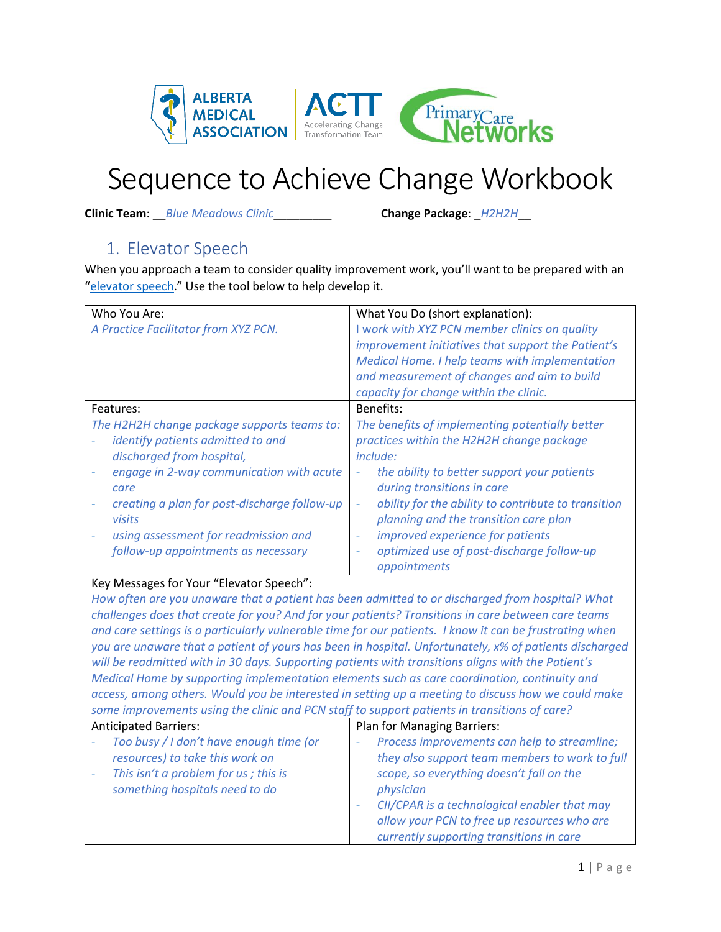

# Sequence to Achieve Change Workbook

**Clinic Team**: \_\_*Blue Meadows Clinic*\_\_\_\_\_\_\_\_\_ **Change Package**: \_*H2H2H*\_\_

### 1. Elevator Speech

When you approach a team to consider quality improvement work, you'll want to be prepared with an "[elevator speech](https://actt.albertadoctors.org/file/Elevator%20Speech%20Template.docx)." Use the tool below to help develop it.

| Who You Are:<br>A Practice Facilitator from XYZ PCN.                                                                                                                                                                                                                                                                    | What You Do (short explanation):<br>I work with XYZ PCN member clinics on quality<br>improvement initiatives that support the Patient's<br>Medical Home. I help teams with implementation<br>and measurement of changes and aim to build<br>capacity for change within the clinic.                                                                                                                                                     |
|-------------------------------------------------------------------------------------------------------------------------------------------------------------------------------------------------------------------------------------------------------------------------------------------------------------------------|----------------------------------------------------------------------------------------------------------------------------------------------------------------------------------------------------------------------------------------------------------------------------------------------------------------------------------------------------------------------------------------------------------------------------------------|
| Features:<br>The H2H2H change package supports teams to:<br>identify patients admitted to and<br>discharged from hospital,<br>engage in 2-way communication with acute<br>care<br>creating a plan for post-discharge follow-up<br>visits<br>using assessment for readmission and<br>follow-up appointments as necessary | Benefits:<br>The benefits of implementing potentially better<br>practices within the H2H2H change package<br><i>include:</i><br>the ability to better support your patients<br>$\overline{\phantom{a}}$<br>during transitions in care<br>ability for the ability to contribute to transition<br>planning and the transition care plan<br>improved experience for patients<br>optimized use of post-discharge follow-up<br>appointments |

#### Key Messages for Your "Elevator Speech":

*How often are you unaware that a patient has been admitted to or discharged from hospital? What challenges does that create for you? And for your patients? Transitions in care between care teams and care settings is a particularly vulnerable time for our patients. I know it can be frustrating when you are unaware that a patient of yours has been in hospital. Unfortunately, x% of patients discharged will be readmitted with in 30 days. Supporting patients with transitions aligns with the Patient's Medical Home by supporting implementation elements such as care coordination, continuity and access, among others. Would you be interested in setting up a meeting to discuss how we could make some improvements using the clinic and PCN staff to support patients in transitions of care?* 

| <b>Anticipated Barriers:</b>                                                                                                                         | <b>Plan for Managing Barriers:</b>                                                                                                                                                                                                                                                                 |
|------------------------------------------------------------------------------------------------------------------------------------------------------|----------------------------------------------------------------------------------------------------------------------------------------------------------------------------------------------------------------------------------------------------------------------------------------------------|
| Too busy / I don't have enough time (or<br>resources) to take this work on<br>This isn't a problem for us; this is<br>something hospitals need to do | Process improvements can help to streamline;<br>they also support team members to work to full<br>scope, so everything doesn't fall on the<br>physician<br>CII/CPAR is a technological enabler that may<br>allow your PCN to free up resources who are<br>currently supporting transitions in care |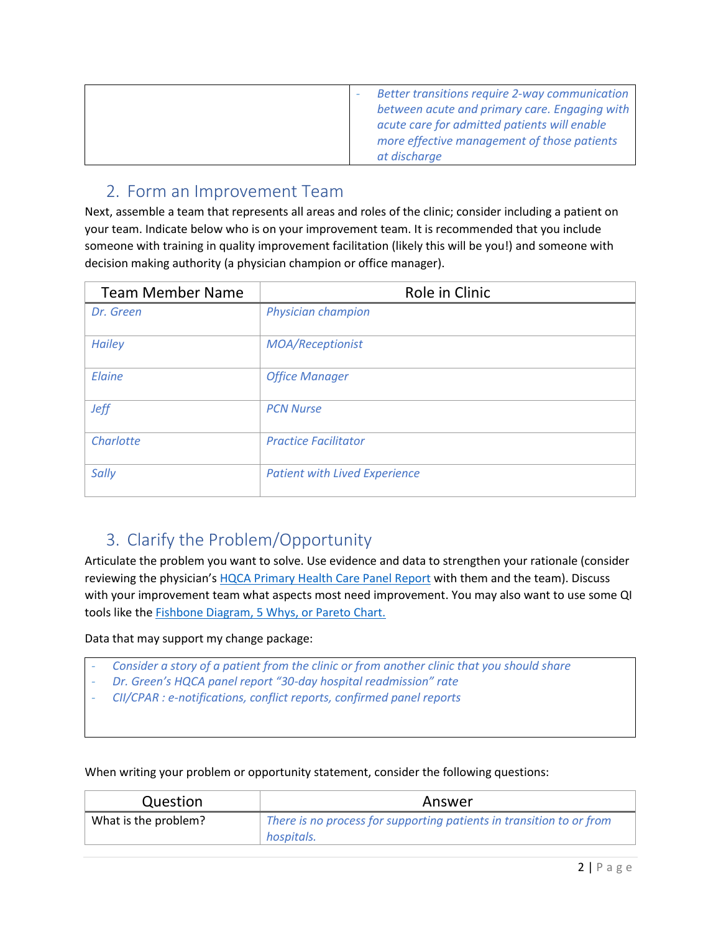| Better transitions require 2-way communication<br>between acute and primary care. Engaging with<br>acute care for admitted patients will enable<br>more effective management of those patients |
|------------------------------------------------------------------------------------------------------------------------------------------------------------------------------------------------|
| at discharge                                                                                                                                                                                   |

### 2. Form an Improvement Team

Next, assemble a team that represents all areas and roles of the clinic; consider including a patient on your team. Indicate below who is on your improvement team. It is recommended that you include someone with training in quality improvement facilitation (likely this will be you!) and someone with decision making authority (a physician champion or office manager).

| <b>Team Member Name</b> | Role in Clinic                       |
|-------------------------|--------------------------------------|
| Dr. Green               | Physician champion                   |
| <b>Hailey</b>           | MOA/Receptionist                     |
| Elaine                  | <b>Office Manager</b>                |
| <b>Jeff</b>             | <b>PCN Nurse</b>                     |
| Charlotte               | <b>Practice Facilitator</b>          |
| Sally                   | <b>Patient with Lived Experience</b> |

### 3. Clarify the Problem/Opportunity

Articulate the problem you want to solve. Use evidence and data to strengthen your rationale (consider reviewing the physician's [HQCA Primary Health Care Panel Report](https://hqca.ca/health-care-provider-resources/panel-reports) with them and the team). Discuss with your improvement team what aspects most need improvement. You may also want to use some QI tools like the **Fishbone Diagram, 5 Whys, or Pareto Chart.** 

Data that may support my change package:

- *- Consider a story of a patient from the clinic or from another clinic that you should share*
- *- Dr. Green's HQCA panel report "30-day hospital readmission" rate*
- *- CII/CPAR : e-notifications, conflict reports, confirmed panel reports*

When writing your problem or opportunity statement, consider the following questions:

| Question             | Answer                                                                             |
|----------------------|------------------------------------------------------------------------------------|
| What is the problem? | There is no process for supporting patients in transition to or from<br>hospitals. |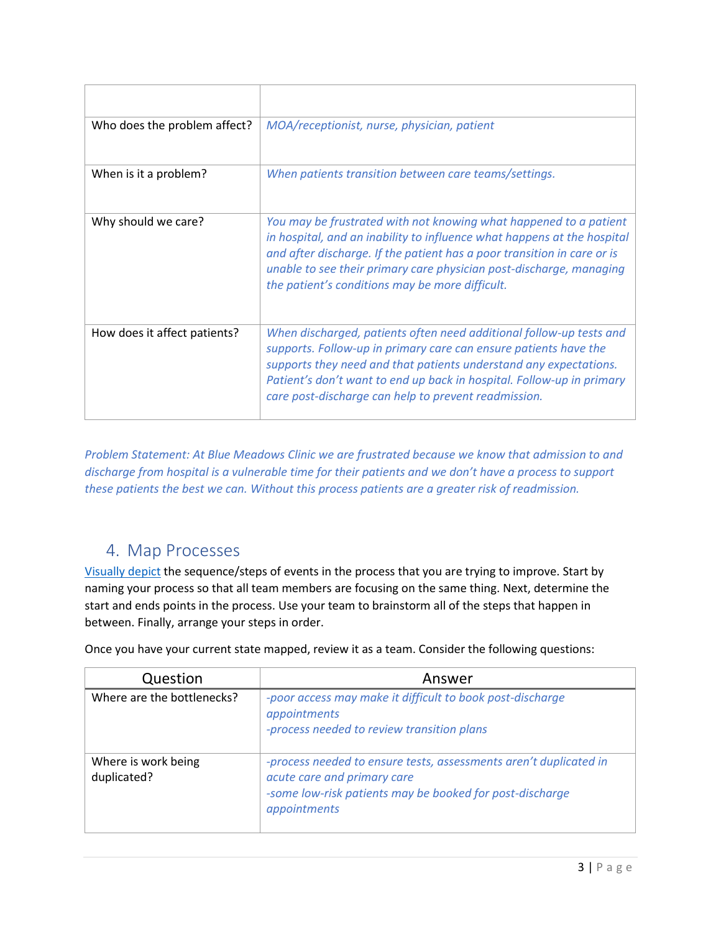| Who does the problem affect? | MOA/receptionist, nurse, physician, patient                                                                                                                                                                                                                                                                                                       |
|------------------------------|---------------------------------------------------------------------------------------------------------------------------------------------------------------------------------------------------------------------------------------------------------------------------------------------------------------------------------------------------|
| When is it a problem?        | When patients transition between care teams/settings.                                                                                                                                                                                                                                                                                             |
| Why should we care?          | You may be frustrated with not knowing what happened to a patient<br>in hospital, and an inability to influence what happens at the hospital<br>and after discharge. If the patient has a poor transition in care or is<br>unable to see their primary care physician post-discharge, managing<br>the patient's conditions may be more difficult. |
| How does it affect patients? | When discharged, patients often need additional follow-up tests and<br>supports. Follow-up in primary care can ensure patients have the<br>supports they need and that patients understand any expectations.<br>Patient's don't want to end up back in hospital. Follow-up in primary<br>care post-discharge can help to prevent readmission.     |

*Problem Statement: At Blue Meadows Clinic we are frustrated because we know that admission to and discharge from hospital is a vulnerable time for their patients and we don't have a process to support these patients the best we can. Without this process patients are a greater risk of readmission.*

### 4. Map Processes

[Visually depict](https://actt.albertadoctors.org/file/Process-Mapping.pdf#search=process%20map) the sequence/steps of events in the process that you are trying to improve. Start by naming your process so that all team members are focusing on the same thing. Next, determine the start and ends points in the process. Use your team to brainstorm all of the steps that happen in between. Finally, arrange your steps in order.

Once you have your current state mapped, review it as a team. Consider the following questions:

| Question                           | Answer                                                                                                                                                                       |
|------------------------------------|------------------------------------------------------------------------------------------------------------------------------------------------------------------------------|
| Where are the bottlenecks?         | -poor access may make it difficult to book post-discharge<br>appointments<br>-process needed to review transition plans                                                      |
| Where is work being<br>duplicated? | -process needed to ensure tests, assessments aren't duplicated in<br>acute care and primary care<br>-some low-risk patients may be booked for post-discharge<br>appointments |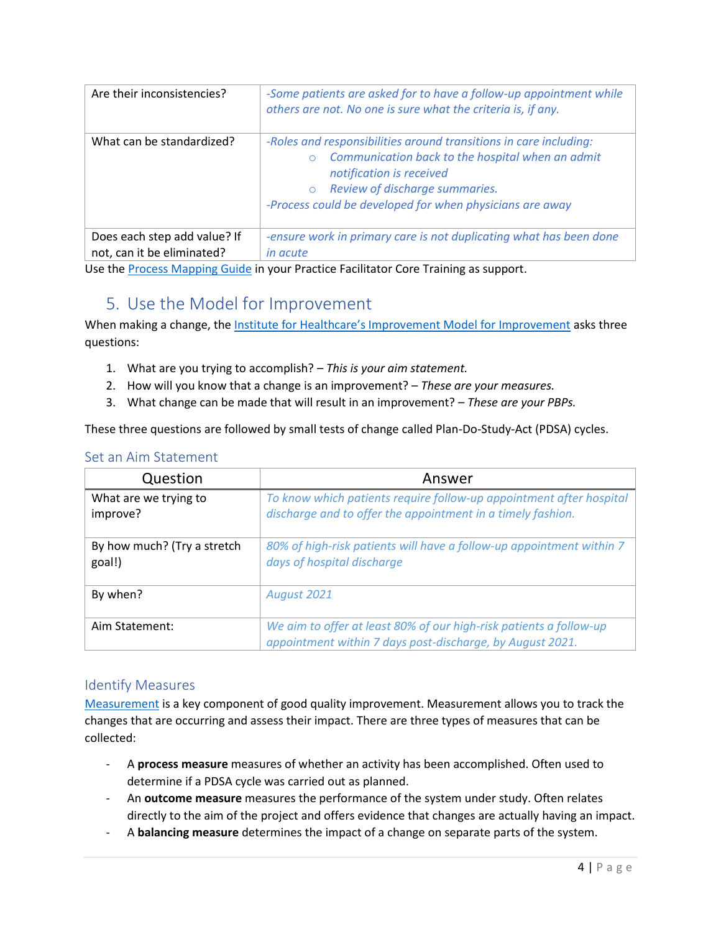| Are their inconsistencies?   | -Some patients are asked for to have a follow-up appointment while<br>others are not. No one is sure what the criteria is, if any.                                                                                                                         |
|------------------------------|------------------------------------------------------------------------------------------------------------------------------------------------------------------------------------------------------------------------------------------------------------|
| What can be standardized?    | -Roles and responsibilities around transitions in care including:<br>Communication back to the hospital when an admit<br>notification is received<br>Review of discharge summaries.<br>$\circ$<br>-Process could be developed for when physicians are away |
| Does each step add value? If | -ensure work in primary care is not duplicating what has been done                                                                                                                                                                                         |
| not, can it be eliminated?   | in acute                                                                                                                                                                                                                                                   |

Use th[e Process Mapping Guide](https://actt.albertadoctors.org/file/Process-Mapping.pdf#search=process%20map) in your Practice Facilitator Core Training as support.

### 5. Use the Model for Improvement

When making a change, the Institute for Healthcare's [Improvement Model for Improvement](https://actt.albertadoctors.org/file/model-for-improvement-worksheet.pdf#search=model%20for%20improvement) asks three questions:

- 1. What are you trying to accomplish? *This is your aim statement.*
- 2. How will you know that a change is an improvement? *These are your measures.*
- 3. What change can be made that will result in an improvement? *These are your PBPs.*

These three questions are followed by small tests of change called Plan-Do-Study-Act (PDSA) cycles.

#### Set an Aim Statement

| Question                              | Answer                                                                                                                             |
|---------------------------------------|------------------------------------------------------------------------------------------------------------------------------------|
| What are we trying to<br>improve?     | To know which patients require follow-up appointment after hospital<br>discharge and to offer the appointment in a timely fashion. |
| By how much? (Try a stretch<br>goal!) | 80% of high-risk patients will have a follow-up appointment within 7<br>days of hospital discharge                                 |
| By when?                              | August 2021                                                                                                                        |
| Aim Statement:                        | We aim to offer at least 80% of our high-risk patients a follow-up<br>appointment within 7 days post-discharge, by August 2021.    |

#### Identify Measures

[Measurement](https://actt.albertadoctors.org/file/Measurement-Plan%20Worksheet.docx) is a key component of good quality improvement. Measurement allows you to track the changes that are occurring and assess their impact. There are three types of measures that can be collected:

- A **process measure** measures of whether an activity has been accomplished. Often used to determine if a PDSA cycle was carried out as planned.
- An **outcome measure** measures the performance of the system under study. Often relates directly to the aim of the project and offers evidence that changes are actually having an impact.
- A **balancing measure** determines the impact of a change on separate parts of the system.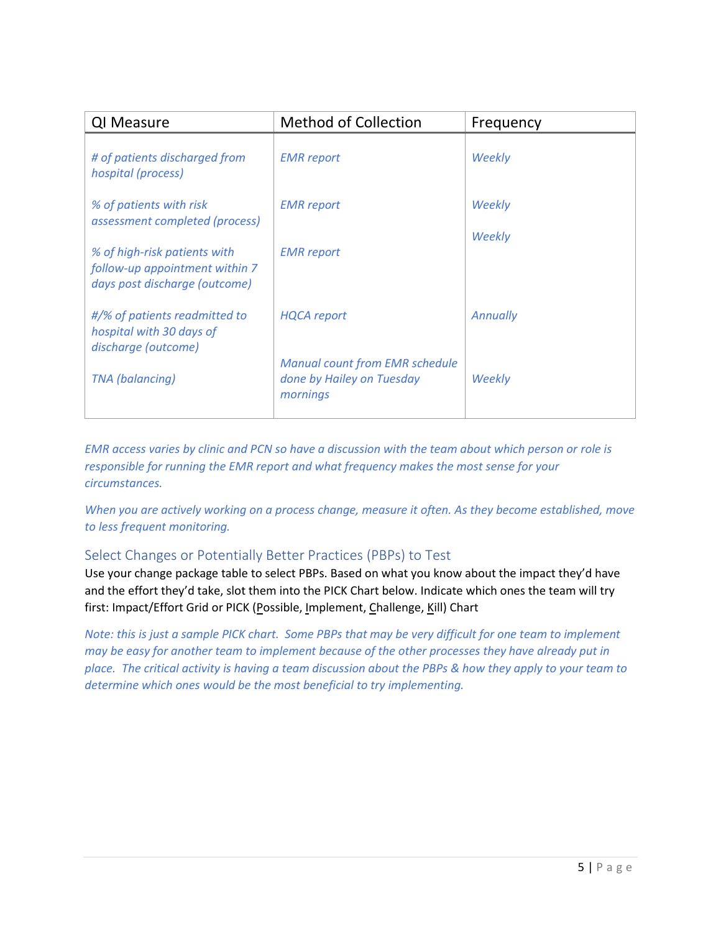| QI Measure                                                                                      | <b>Method of Collection</b>                                                    | Frequency       |
|-------------------------------------------------------------------------------------------------|--------------------------------------------------------------------------------|-----------------|
| # of patients discharged from<br>hospital (process)                                             | <b>EMR</b> report                                                              | Weekly          |
| % of patients with risk<br>assessment completed (process)                                       | <b>EMR</b> report                                                              | Weekly          |
| % of high-risk patients with<br>follow-up appointment within 7<br>days post discharge (outcome) | <b>EMR</b> report                                                              | Weekly          |
| #/% of patients readmitted to<br>hospital with 30 days of<br>discharge (outcome)                | <b>HQCA</b> report                                                             | <b>Annually</b> |
| <b>TNA</b> (balancing)                                                                          | <b>Manual count from EMR schedule</b><br>done by Hailey on Tuesday<br>mornings | Weekly          |

*EMR access varies by clinic and PCN so have a discussion with the team about which person or role is responsible for running the EMR report and what frequency makes the most sense for your circumstances.*

*When you are actively working on a process change, measure it often. As they become established, move to less frequent monitoring.*

#### Select Changes or Potentially Better Practices (PBPs) to Test

Use your change package table to select PBPs. Based on what you know about the impact they'd have and the effort they'd take, slot them into the PICK Chart below. Indicate which ones the team will try first: Impact/Effort Grid or PICK (Possible, Implement, Challenge, Kill) Chart

*Note: this is just a sample PICK chart. Some PBPs that may be very difficult for one team to implement may be easy for another team to implement because of the other processes they have already put in place. The critical activity is having a team discussion about the PBPs & how they apply to your team to determine which ones would be the most beneficial to try implementing.*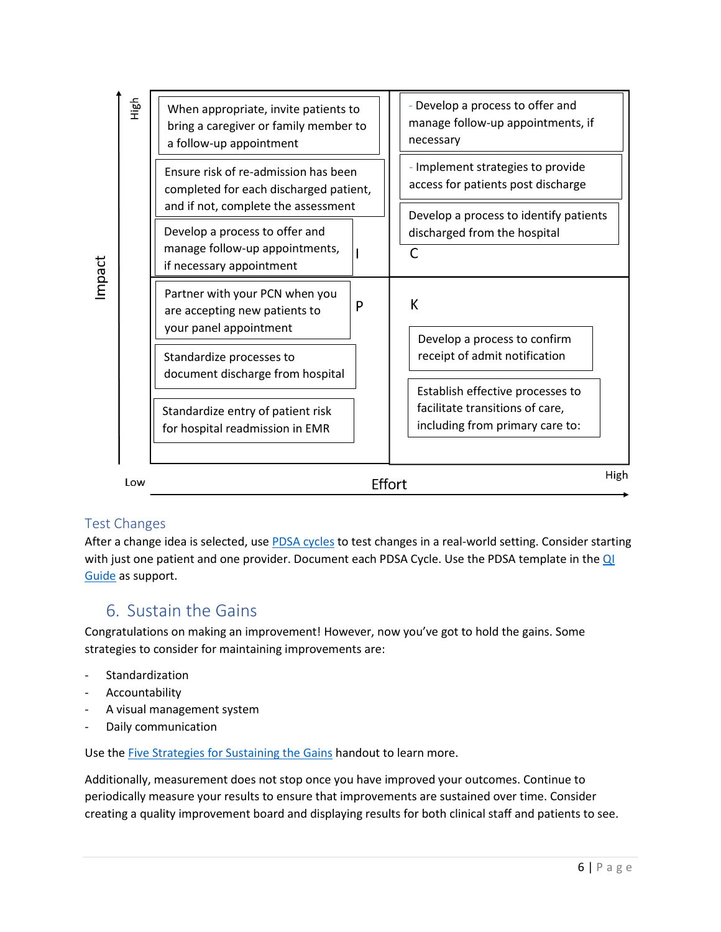| High<br>Impact | When appropriate, invite patients to<br>bring a caregiver or family member to<br>a follow-up appointment              |        | - Develop a process to offer and<br>manage follow-up appointments, if<br>necessary                     |      |
|----------------|-----------------------------------------------------------------------------------------------------------------------|--------|--------------------------------------------------------------------------------------------------------|------|
|                | Ensure risk of re-admission has been<br>completed for each discharged patient,<br>and if not, complete the assessment |        | - Implement strategies to provide<br>access for patients post discharge                                |      |
|                | Develop a process to offer and<br>manage follow-up appointments,<br>if necessary appointment                          |        | Develop a process to identify patients<br>discharged from the hospital<br>C                            |      |
|                | Partner with your PCN when you<br>are accepting new patients to<br>your panel appointment                             | P      | К<br>Develop a process to confirm                                                                      |      |
|                | Standardize processes to<br>document discharge from hospital                                                          |        | receipt of admit notification                                                                          |      |
|                | Standardize entry of patient risk<br>for hospital readmission in EMR                                                  |        | Establish effective processes to<br>facilitate transitions of care,<br>including from primary care to: |      |
| Low            |                                                                                                                       | Effort |                                                                                                        | High |

#### Test Changes

After a change idea is selected, use **PDSA cycles** to test changes in a real-world setting. Consider starting with just one patient and one provider. Document each PDSA Cycle. Use the PDSA template in the QI [Guide](https://actt.albertadoctors.org/file/quality-improvement-guide.pdf#search=qi%20guide) as support.

### 6. Sustain the Gains

Congratulations on making an improvement! However, now you've got to hold the gains. Some strategies to consider for maintaining improvements are:

- Standardization
- Accountability
- A visual management system
- Daily communication

Use th[e Five Strategies for Sustaining the Gains](https://actt.albertadoctors.org/file/Five-strategies-sustaining-gain.pdf#search=sustain%20the%20gain) handout to learn more.

Additionally, measurement does not stop once you have improved your outcomes. Continue to periodically measure your results to ensure that improvements are sustained over time. Consider creating a quality improvement board and displaying results for both clinical staff and patients to see.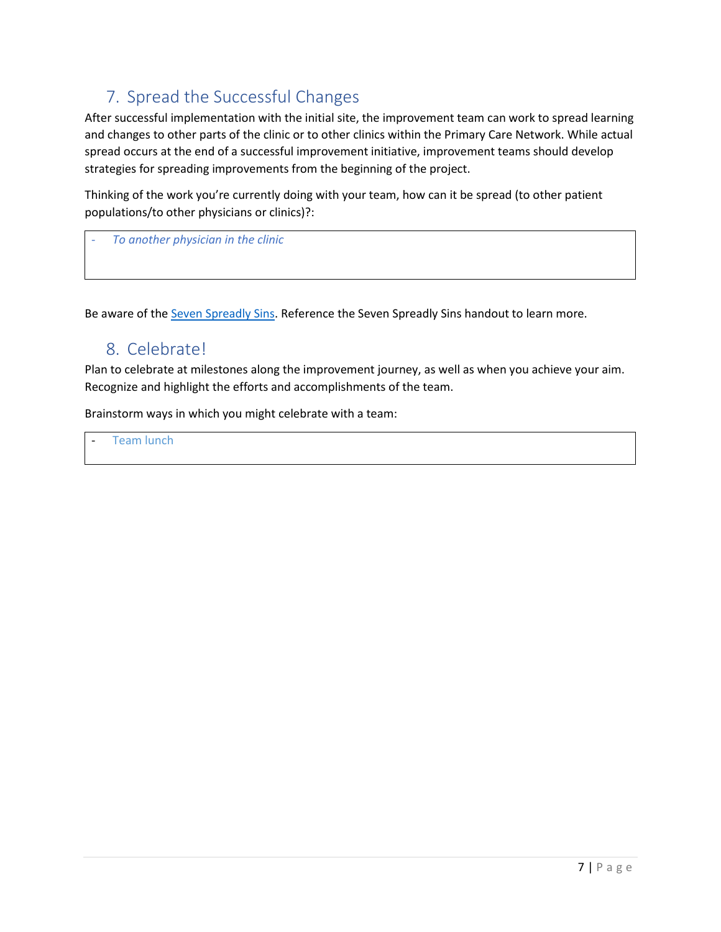### 7. Spread the Successful Changes

After successful implementation with the initial site, the improvement team can work to spread learning and changes to other parts of the clinic or to other clinics within the Primary Care Network. While actual spread occurs at the end of a successful improvement initiative, improvement teams should develop strategies for spreading improvements from the beginning of the project.

Thinking of the work you're currently doing with your team, how can it be spread (to other patient populations/to other physicians or clinics)?:

- *To another physician in the clinic*

Be aware of the [Seven Spreadly Sins.](http://www.ihi.org/resources/Pages/Tools/IHISevenSpreadlySins.aspx) Reference the Seven Spreadly Sins handout to learn more.

### 8. Celebrate!

Plan to celebrate at milestones along the improvement journey, as well as when you achieve your aim. Recognize and highlight the efforts and accomplishments of the team.

Brainstorm ways in which you might celebrate with a team:

Team lunch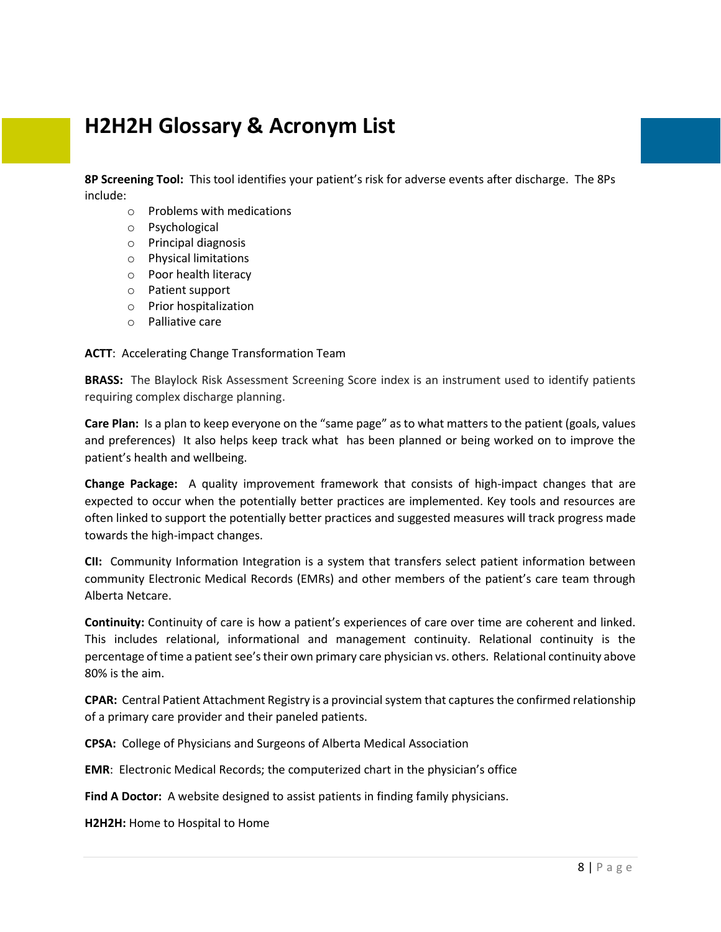## **H2H2H Glossary & Acronym List**

**8P Screening Tool:** This tool identifies your patient's risk for adverse events after discharge. The 8Ps include:

- o Problems with medications
- o Psychological
- o Principal diagnosis
- o Physical limitations
- o Poor health literacy
- o Patient support
- o Prior hospitalization
- o Palliative care

**ACTT**: Accelerating Change Transformation Team

**BRASS:** The Blaylock Risk Assessment Screening Score index is an instrument used to identify patients requiring complex discharge planning.

**Care Plan:** Is a plan to keep everyone on the "same page" as to what matters to the patient (goals, values and preferences) It also helps keep track what has been planned or being worked on to improve the patient's health and wellbeing.

**Change Package:** A quality improvement framework that consists of high-impact changes that are expected to occur when the potentially better practices are implemented. Key tools and resources are often linked to support the potentially better practices and suggested measures will track progress made towards the high-impact changes.

**CII:** Community Information Integration is a system that transfers select patient information between community Electronic Medical Records (EMRs) and other members of the patient's care team through Alberta Netcare.

**Continuity:** Continuity of care is how a patient's experiences of care over time are coherent and linked. This includes relational, informational and management continuity. Relational continuity is the percentage of time a patient see's their own primary care physician vs. others. Relational continuity above 80% is the aim.

**CPAR:** Central Patient Attachment Registry is a provincial system that captures the confirmed relationship of a primary care provider and their paneled patients.

**CPSA:** College of Physicians and Surgeons of Alberta Medical Association

**EMR**: Electronic Medical Records; the computerized chart in the physician's office

**Find A Doctor:** A website designed to assist patients in finding family physicians.

**H2H2H:** Home to Hospital to Home